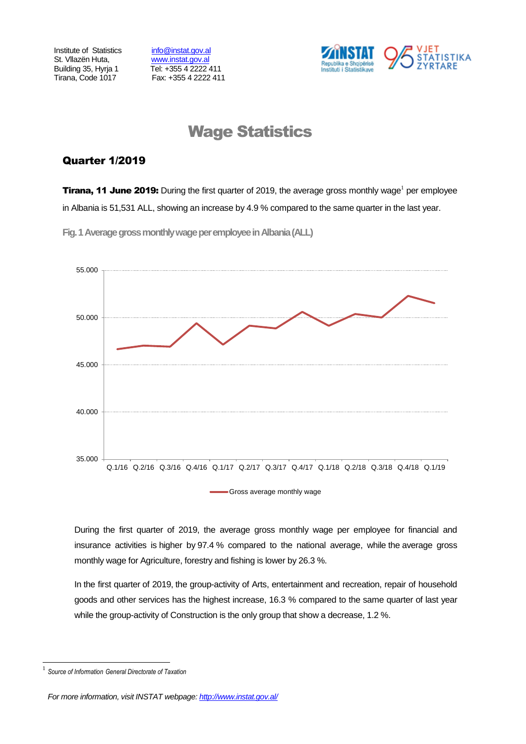Institute of Statistics info@instat.gov.al St. Vilazën Huta, [www.instat.gov.al](http://www.instat.gov.al/)

Building 35, Hyrja 1 Tel: +355 4 2222 411 Tirana, Code 1017 Fax: +355 4 2222 411



# Wage Statistics

# Quarter 1/2019

**Tirana, 11 June 2019:** During the first quarter of 2019, the average gross monthly wage<sup>1</sup> per employee in Albania is 51,531 ALL, showing an increase by 4.9 % compared to the same quarter in the last year.

**Fig.1Average gross monthly wage per employeein Albania(ALL)**



During the first quarter of 2019, the average gross monthly wage per employee for financial and insurance activities is higher by 97.4 % compared to the national average, while the average gross monthly wage for Agriculture, forestry and fishing is lower by 26.3 %.

In the first quarter of 2019, the group-activity of Arts, entertainment and recreation, repair of household goods and other services has the highest increase, 16.3 % compared to the same quarter of last year while the group-activity of Construction is the only group that show a decrease, 1.2 %.

l

<sup>1</sup> *Source of Information General Directorate of Taxation*

*For more information, visit INSTAT webpage: http://www.instat.gov.al/*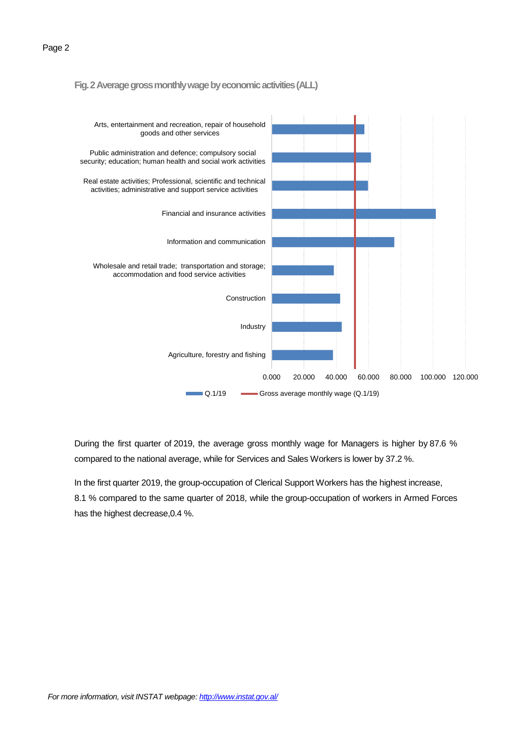#### **Fig. 2 Average gross monthly wage by economic activities(ALL)**



During the first quarter of 2019, the average gross monthly wage for Managers is higher by 87.6 % compared to the national average, while for Services and Sales Workers is lower by 37.2 %.

In the first quarter 2019, the group-occupation of Clerical Support Workers has the highest increase, 8.1 % compared to the same quarter of 2018, while the group-occupation of workers in Armed Forces has the highest decrease,0.4 %.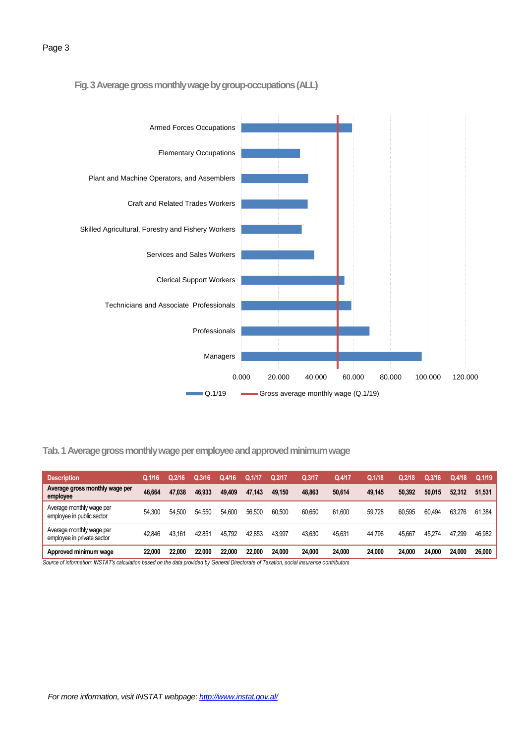## **Fig. 3Average gross monthly wage by group-occupations(ALL)**



# **Tab. 1 Average gross monthly wage per employee and approved minimum wage**

| <b>Description</b>                                     | Q.1/16 | Q.2/16 | Q.3/16 | Q.4/16 | O.1/17 | Q.2/17 | Q.3/17 | Q.4/17 | Q.1/18 | Q.2/18 | Q.3/18 | Q.4/18 | Q.1/19 |
|--------------------------------------------------------|--------|--------|--------|--------|--------|--------|--------|--------|--------|--------|--------|--------|--------|
| Average gross monthly wage per<br>employee             | 46.664 | 47.038 | 46.933 | 49,409 | 47.143 | 49.150 | 48.863 | 50.614 | 49.145 | 50.392 | 50.015 | 52.312 | 51.531 |
| Average monthly wage per<br>employee in public sector  | 54.300 | 54.500 | 54.550 | 54.600 | 56.500 | 60.500 | 60.650 | 61.600 | 59.728 | 60.595 | 60.494 | 63.276 | 61.384 |
| Average monthly wage per<br>employee in private sector | 42.846 | 43.161 | 42.851 | 45.792 | 42.853 | 43.997 | 43.630 | 45.63  | 44.796 | 45.667 | 45.274 | 47.299 | 46,982 |
| Approved minimum wage                                  | 22.000 | 22.000 | 22.000 | 22.000 | 22,000 | 24.000 | 24.000 | 24.000 | 24,000 | 24.000 | 24.000 | 24.000 | 26.000 |

*Source of information: INSTAT's calculation based on the data provided by General Directorate of Taxation, social insurance contributors*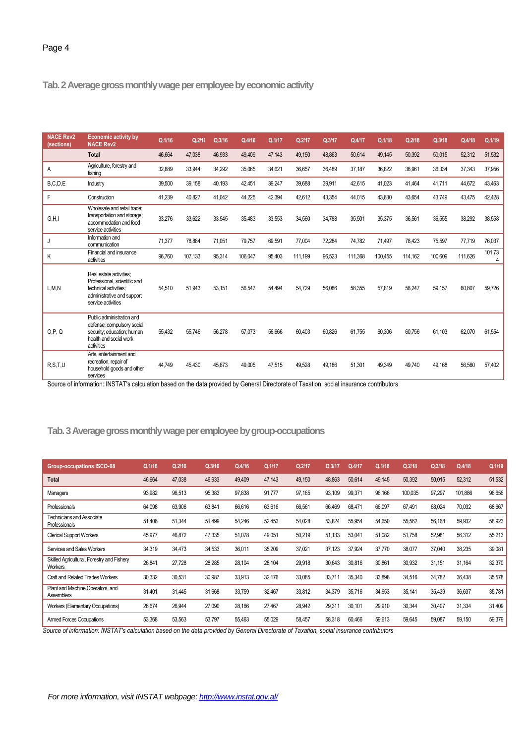**Tab.2 Average gross monthly wage per employee by economic activity**

| <b>NACE Rev2</b><br>(sections) | <b>Economic activity by</b><br><b>NACE Rev2</b>                                                                                      | Q.1/16 | Q.2/16  | Q.3/16 | Q.4/16  | Q.1/17 | Q.2/17  | Q.3/17 | Q.4/17  | Q.1/18  | Q.2/18  | Q.3/18  | Q.4/18  | Q.1/19 |
|--------------------------------|--------------------------------------------------------------------------------------------------------------------------------------|--------|---------|--------|---------|--------|---------|--------|---------|---------|---------|---------|---------|--------|
|                                | <b>Total</b>                                                                                                                         | 46,664 | 47,038  | 46,933 | 49,409  | 47,143 | 49.150  | 48.863 | 50,614  | 49,145  | 50,392  | 50,015  | 52,312  | 51,532 |
| A                              | Agriculture, forestry and<br>fishing                                                                                                 | 32.889 | 33,944  | 34,292 | 35,065  | 34.621 | 36,657  | 36.489 | 37.187  | 36,822  | 36.961  | 36,334  | 37,343  | 37,956 |
| B, C, D, E                     | Industry                                                                                                                             | 39.500 | 39.158  | 40.193 | 42.451  | 39.247 | 39.688  | 39,911 | 42,615  | 41,023  | 41.464  | 41.711  | 44.672  | 43,463 |
| F                              | Construction                                                                                                                         | 41,239 | 40,827  | 41,042 | 44,225  | 42,394 | 42,612  | 43,354 | 44,015  | 43,630  | 43,654  | 43,749  | 43,475  | 42,428 |
| G, H, I                        | Wholesale and retail trade:<br>transportation and storage;<br>accommodation and food<br>service activities                           | 33,276 | 33.622  | 33.545 | 35.483  | 33.553 | 34,560  | 34,788 | 35.501  | 35,375  | 36,561  | 36,555  | 38,292  | 38,558 |
| J                              | Information and<br>communication                                                                                                     | 71.377 | 78,884  | 71,051 | 79,757  | 69.591 | 77,004  | 72,284 | 74,782  | 71,497  | 78.423  | 75,597  | 77,719  | 76,037 |
| K                              | Financial and insurance<br>activities                                                                                                | 96,760 | 107,133 | 95,314 | 106,047 | 95,403 | 111,199 | 96,523 | 111,368 | 100,455 | 114,162 | 100,609 | 111.626 | 101,73 |
| L, M, N                        | Real estate activities;<br>Professional, scientific and<br>technical activities;<br>administrative and support<br>service activities | 54.510 | 51,943  | 53.151 | 56,547  | 54,494 | 54,729  | 56,086 | 58,355  | 57,819  | 58,247  | 59,157  | 60,807  | 59,726 |
| O.P. Q                         | Public administration and<br>defense; compulsory social<br>security; education; human<br>health and social work<br>activities        | 55.432 | 55.746  | 56,278 | 57,073  | 56.666 | 60.403  | 60.826 | 61.755  | 60.306  | 60.756  | 61.103  | 62.070  | 61,554 |
| R.S.T.U                        | Arts, entertainment and<br>recreation, repair of<br>household goods and other<br>services                                            | 44.749 | 45.430  | 45.673 | 49.005  | 47.515 | 49.528  | 49.186 | 51.301  | 49.349  | 49.740  | 49.168  | 56.560  | 57,402 |

Source of information: INSTAT's calculation based on the data provided by General Directorate of Taxation, social insurance contributors

### **Tab.3Average gross monthly wage per employee by group-occupations**

| <b>Group-occupations ISCO-08</b>                      | Q.1/16 | Q.2/16 | Q.3/16 | Q.4/16 | Q.1/17 | Q.2/17 | Q.3/17 | Q.4/17 | Q.1/18 | Q.2/18  | Q.3/18 | Q.4/18  | Q.1/19 |
|-------------------------------------------------------|--------|--------|--------|--------|--------|--------|--------|--------|--------|---------|--------|---------|--------|
| <b>Total</b>                                          | 46,664 | 47,038 | 46,933 | 49,409 | 47,143 | 49,150 | 48,863 | 50,614 | 49,145 | 50,392  | 50,015 | 52,312  | 51,532 |
| Managers                                              | 93,982 | 96,513 | 95,383 | 97,838 | 91,777 | 97,165 | 93,109 | 99,371 | 96,166 | 100,035 | 97,297 | 101.886 | 96,656 |
| Professionals                                         | 64,098 | 63,906 | 63,841 | 66,616 | 63,616 | 66,561 | 66,469 | 68,471 | 66,097 | 67,491  | 68,024 | 70,032  | 68,667 |
| Technicians and Associate<br>Professionals            | 51,406 | 51,344 | 51,499 | 54,246 | 52,453 | 54,028 | 53,824 | 55,954 | 54,650 | 55,562  | 56,168 | 59,932  | 58,923 |
| <b>Clerical Support Workers</b>                       | 45,977 | 46,872 | 47,335 | 51,078 | 49,051 | 50,219 | 51,133 | 53,041 | 51,082 | 51,758  | 52,981 | 56,312  | 55,213 |
| Services and Sales Workers                            | 34,319 | 34,473 | 34,533 | 36,011 | 35,209 | 37,021 | 37,123 | 37,924 | 37,770 | 38,077  | 37,040 | 38,235  | 39,081 |
| Skilled Agricultural, Forestry and Fishery<br>Workers | 26,841 | 27,728 | 28,285 | 28,104 | 28,104 | 29,918 | 30,643 | 30,816 | 30,861 | 30,932  | 31,151 | 31,164  | 32,370 |
| <b>Craft and Related Trades Workers</b>               | 30,332 | 30,531 | 30,987 | 33,913 | 32,176 | 33,085 | 33,71  | 35,340 | 33,898 | 34,516  | 34,782 | 36,438  | 35,578 |
| Plant and Machine Operators, and<br><b>Assemblers</b> | 31,401 | 31,445 | 31,668 | 33,759 | 32,467 | 33,812 | 34,379 | 35,716 | 34,653 | 35,141  | 35,439 | 36,637  | 35,781 |
| Workers (Elementary Occupations)                      | 26,674 | 26,944 | 27,090 | 28,166 | 27,467 | 28,942 | 29,31  | 30,101 | 29,910 | 30,344  | 30,407 | 31,334  | 31,409 |
| Armed Forces Occupations                              | 53,368 | 53,563 | 53,797 | 55,463 | 55,029 | 58,457 | 58,318 | 60,466 | 59,613 | 59,645  | 59,087 | 59,150  | 59,379 |

*Source of information: INSTAT's calculation based on the data provided by General Directorate of Taxation, social insurance contributors*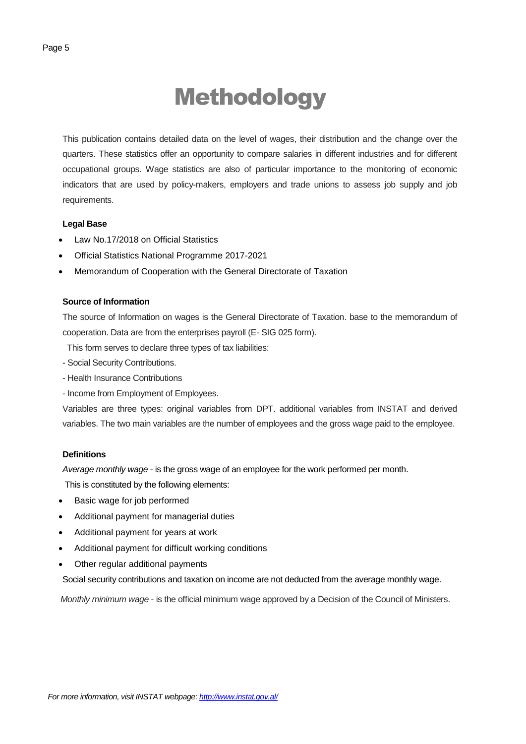# Methodology

This publication contains detailed data on the level of wages, their distribution and the change over the quarters. These statistics offer an opportunity to compare salaries in different industries and for different occupational groups. Wage statistics are also of particular importance to the monitoring of economic indicators that are used by policy-makers, employers and trade unions to assess job supply and job requirements.

#### **Legal Base**

- [Law No.17/2018 on Official Statistics](http://instat.gov.al/media/3972/law-no17-2018-on-official-statistics.pdf)
- Official Statistics National Programme 2017-2021
- Memorandum of Cooperation with the General Directorate of Taxation

#### **Source of Information**

The source of Information on wages is the General Directorate of Taxation. base to the memorandum of cooperation. Data are from the enterprises payroll (E- SIG 025 form).

This form serves to declare three types of tax liabilities:

- Social Security Contributions.
- Health Insurance Contributions
- Income from Employment of Employees.

Variables are three types: original variables from DPT. additional variables from INSTAT and derived variables. The two main variables are the number of employees and the gross wage paid to the employee.

#### **Definitions**

*Average monthly wage* - is the gross wage of an employee for the work performed per month.

This is constituted by the following elements:

- Basic wage for job performed
- Additional payment for managerial duties
- Additional payment for years at work
- Additional payment for difficult working conditions
- Other regular additional payments

Social security contributions and taxation on income are not deducted from the average monthly wage.

*Monthly minimum wage* - is the official minimum wage approved by a Decision of the Council of Ministers.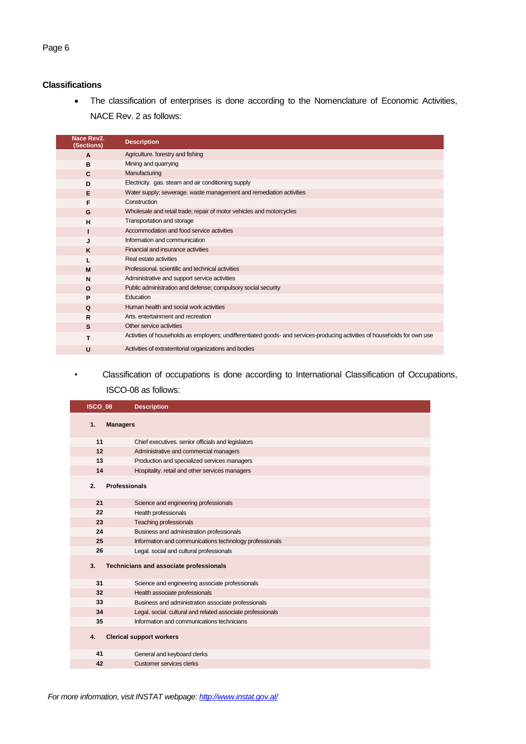# **Classifications**

 The classification of enterprises is done according to the Nomenclature of Economic Activities, NACE Rev. 2 as follows:

| Nace Rev2.<br>(Sections) | <b>Description</b>                                                                                                         |
|--------------------------|----------------------------------------------------------------------------------------------------------------------------|
| A                        | Agriculture. forestry and fishing                                                                                          |
| B                        | Mining and quarrying                                                                                                       |
| C                        | Manufacturing                                                                                                              |
| D                        | Electricity. gas. steam and air conditioning supply                                                                        |
| Е                        | Water supply; sewerage. waste management and remediation activities                                                        |
| F                        | Construction                                                                                                               |
| G                        | Wholesale and retail trade; repair of motor vehicles and motorcycles                                                       |
| н                        | Transportation and storage                                                                                                 |
|                          | Accommodation and food service activities                                                                                  |
| J                        | Information and communication                                                                                              |
| K                        | Financial and insurance activities                                                                                         |
|                          | Real estate activities                                                                                                     |
| M                        | Professional, scientific and technical activities                                                                          |
| N                        | Administrative and support service activities                                                                              |
| $\mathbf{o}$             | Public administration and defense; compulsory social security                                                              |
| P                        | Education                                                                                                                  |
| Q                        | Human health and social work activities                                                                                    |
| R                        | Arts, entertainment and recreation                                                                                         |
| s                        | Other service activities                                                                                                   |
| т                        | Activities of households as employers; undifferentiated goods- and services-producing activities of households for own use |
| U                        | Activities of extraterritorial organizations and bodies                                                                    |

# *•* Classification of occupations is done according to International Classification of Occupations, ISCO-08 as follows:

| ISCO 08 |                      | <b>Description</b>                                          |
|---------|----------------------|-------------------------------------------------------------|
| 1.      | <b>Managers</b>      |                                                             |
| 11      |                      | Chief executives. senior officials and legislators          |
| 12      |                      | Administrative and commercial managers                      |
| 13      |                      | Production and specialized services managers                |
| 14      |                      | Hospitality. retail and other services managers             |
| 2.      | <b>Professionals</b> |                                                             |
| 21      |                      | Science and engineering professionals                       |
| 22      |                      | Health professionals                                        |
| 23      |                      | Teaching professionals                                      |
| 24      |                      | Business and administration professionals                   |
| 25      |                      | Information and communications technology professionals     |
| 26      |                      | Legal. social and cultural professionals                    |
| 3.      |                      | Technicians and associate professionals                     |
| 31      |                      | Science and engineering associate professionals             |
| 32      |                      | Health associate professionals                              |
| 33      |                      | Business and administration associate professionals         |
| 34      |                      | Legal. social. cultural and related associate professionals |
| 35      |                      | Information and communications technicians                  |
| 4.      |                      | <b>Clerical support workers</b>                             |
| 41      |                      | General and keyboard clerks                                 |
| 42      |                      | Customer services clerks                                    |